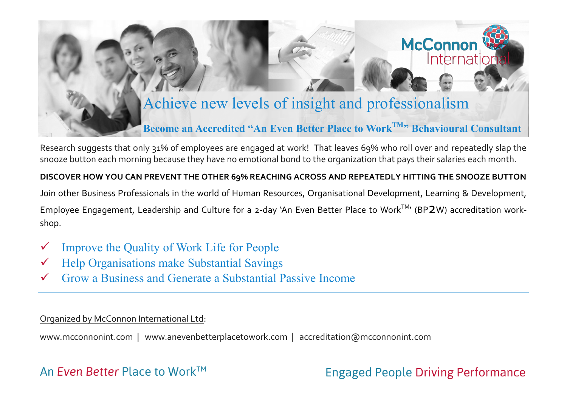# Achieve new levels of insight and professionalism

## **Become an Accredited "An Even Better Place to WorkTM" Behavioural Consultant**

Research suggests that only 31% of employees are engaged at work! That leaves 69% who roll over and repeatedly slap the snooze button each morning because they have no emotional bond to the organization that pays their salaries each month.

## **DISCOVER HOW YOU CAN PREVENT THE OTHER 69% REACHING ACROSS AND REPEATEDLY HITTING THE SNOOZE BUTTON**

Join other Business Professionals in the world of Human Resources, Organisational Development, Learning & Development, Employee Engagement, Leadership and Culture for a 2-day 'An Even Better Place to Work<sup>TM</sup>' (BP2W) accreditation workshop.

- Improve the Quality of Work Life for People
- Help Organisations make Substantial Savings
- Grow a Business and Generate a Substantial Passive Income

### Organized by McConnon International Ltd:

www.mcconnonint.com | www.anevenbetterplacetowork.com | accreditation@mcconnonint.com

## An *Even Better* Place to Work<sup>™</sup>

## Engaged People Driving Performance

**McConno** 

Internatio